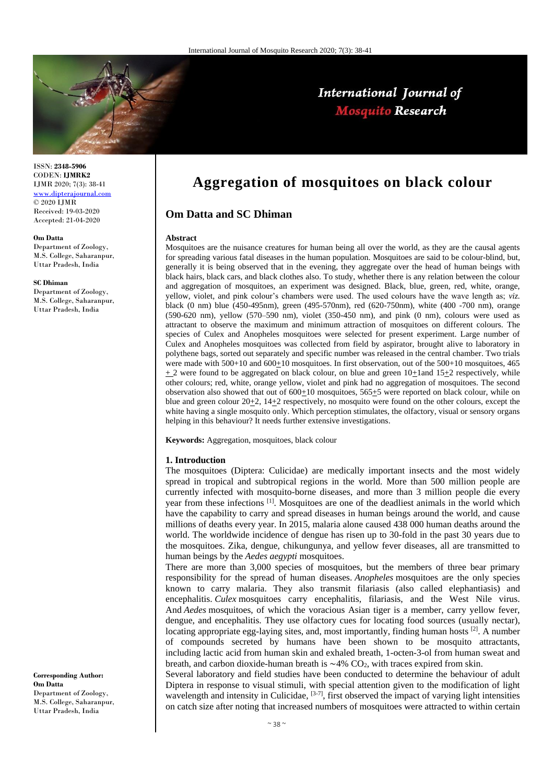

## International Journal of **Mosquito Research**

ISSN: **2348-5906** CODEN: **IJMRK2** IJMR 2020; 7(3): 38-41 [www.dipterajournal.com](file:///D:/2020%20files/01-06-2020/03-06-2020/Mos/www.dipterajournal.com) © 2020 IJMR Received: 19-03-2020 Accepted: 21-04-2020

#### **Om Datta**

Department of Zoology, M.S. College, Saharanpur, Uttar Pradesh, India

#### **SC Dhiman**

Department of Zoology, M.S. College, Saharanpur, Uttar Pradesh, India

**Corresponding Author: Om Datta** Department of Zoology, M.S. College, Saharanpur, Uttar Pradesh, India

# **Aggregation of mosquitoes on black colour**

## **Om Datta and SC Dhiman**

#### **Abstract**

Mosquitoes are the nuisance creatures for human being all over the world, as they are the causal agents for spreading various fatal diseases in the human population. Mosquitoes are said to be colour-blind, but, generally it is being observed that in the evening, they aggregate over the head of human beings with black hairs, black cars, and black clothes also. To study, whether there is any relation between the colour and aggregation of mosquitoes, an experiment was designed. Black, blue, green, red, white, orange, yellow, violet, and pink colour's chambers were used. The used colours have the wave length as; *viz.* black (0 nm) blue (450-495nm), green (495-570nm), red (620-750nm), white (400 -700 nm), orange (590-620 nm), yellow (570–590 nm), violet (350-450 nm), and pink (0 nm), colours were used as attractant to observe the maximum and minimum attraction of mosquitoes on different colours. The species of Culex and Anopheles mosquitoes were selected for present experiment. Large number of Culex and Anopheles mosquitoes was collected from field by aspirator, brought alive to laboratory in polythene bags, sorted out separately and specific number was released in the central chamber. Two trials were made with 500+10 and 600+10 mosquitoes. In first observation, out of the 500+10 mosquitoes, 465  $+ 2$  were found to be aggregated on black colour, on blue and green 10+1and 15+2 respectively, while other colours; red, white, orange yellow, violet and pink had no aggregation of mosquitoes. The second observation also showed that out of  $600+10$  mosquitoes,  $565+5$  were reported on black colour, while on blue and green colour 20+2, 14+2 respectively, no mosquito were found on the other colours, except the white having a single mosquito only. Which perception stimulates, the olfactory, visual or sensory organs helping in this behaviour? It needs further extensive investigations.

**Keywords:** Aggregation, mosquitoes, black colour

#### **1. Introduction**

The mosquitoes (Diptera: Culicidae) are medically important insects and the most widely spread in tropical and subtropical regions in the world. More than 500 million people are currently infected with mosquito-borne diseases, and more than 3 million people die every year from these infections [1]. Mosquitoes are one of the deadliest animals in the world which have the capability to carry and spread diseases in human beings around the world, and cause millions of deaths every year. In 2015, malaria alone caused 438 000 human deaths around the world. The worldwide incidence of dengue has risen up to 30-fold in the past 30 years due to the mosquitoes. Zika, dengue, chikungunya, and yellow fever diseases, all are transmitted to human beings by the *Aedes aegypti* mosquitoes.

There are more than 3,000 species of mosquitoes, but the members of three bear primary responsibility for the spread of human diseases. *Anopheles* mosquitoes are the only species known to carry malaria. They also transmit filariasis (also called elephantiasis) and encephalitis. *Culex* mosquitoes carry encephalitis, filariasis, and the West Nile virus. And *Aedes* mosquitoes, of which the voracious Asian tiger is a member, carry yellow fever, dengue, and encephalitis. They use olfactory cues for locating food sources (usually nectar), locating appropriate egg-laying sites, and, most importantly, finding human hosts [2]. A number of compounds secreted by humans have been shown to be mosquito attractants, including lactic acid from human skin and exhaled breath, 1-octen-3-ol from human sweat and breath, and carbon dioxide-human breath is  $\sim$ 4% CO<sub>2</sub>, with traces expired from skin.

Several laboratory and field studies have been conducted to determine the behaviour of adult Diptera in response to visual stimuli, with special attention given to the modification of light wavelength and intensity in Culicidae,  $[3-7]$ , first observed the impact of varying light intensities on catch size after noting that increased numbers of mosquitoes were attracted to within certain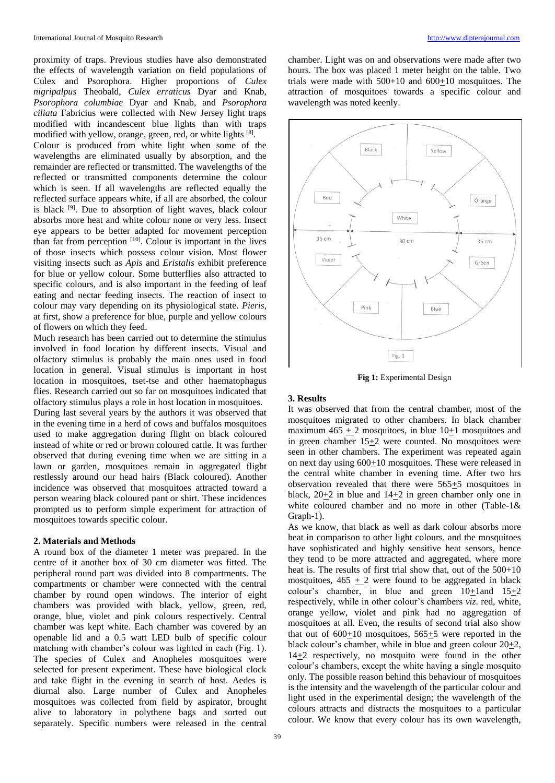proximity of traps. Previous studies have also demonstrated the effects of wavelength variation on field populations of Culex and Psorophora. Higher proportions of *Culex nigripalpus* Theobald, *Culex erraticus* Dyar and Knab, *Psorophora columbiae* Dyar and Knab, and *Psorophora ciliata* Fabricius were collected with New Jersey light traps modified with incandescent blue lights than with traps modified with yellow, orange, green, red, or white lights [8]. Colour is produced from white light when some of the wavelengths are eliminated usually by absorption, and the remainder are reflected or transmitted. The wavelengths of the reflected or transmitted components determine the colour which is seen. If all wavelengths are reflected equally the reflected surface appears white, if all are absorbed, the colour is black [9]. Due to absorption of light waves, black colour absorbs more heat and white colour none or very less. Insect eye appears to be better adapted for movement perception than far from perception  $[10]$ . Colour is important in the lives

of those insects which possess colour vision. Most flower visiting insects such as *Apis* and *Eristalis* exhibit preference for blue or yellow colour. Some butterflies also attracted to specific colours, and is also important in the feeding of leaf eating and nectar feeding insects. The reaction of insect to colour may vary depending on its physiological state. *Pieris*, at first, show a preference for blue, purple and yellow colours of flowers on which they feed.

Much research has been carried out to determine the stimulus involved in food location by different insects. Visual and olfactory stimulus is probably the main ones used in food location in general. Visual stimulus is important in host location in mosquitoes, tset-tse and other haematophagus flies. Research carried out so far on mosquitoes indicated that olfactory stimulus plays a role in host location in mosquitoes.

During last several years by the authors it was observed that in the evening time in a herd of cows and buffalos mosquitoes used to make aggregation during flight on black coloured instead of white or red or brown coloured cattle. It was further observed that during evening time when we are sitting in a lawn or garden, mosquitoes remain in aggregated flight restlessly around our head hairs (Black coloured). Another incidence was observed that mosquitoes attracted toward a person wearing black coloured pant or shirt. These incidences prompted us to perform simple experiment for attraction of mosquitoes towards specific colour.

#### **2. Materials and Methods**

A round box of the diameter 1 meter was prepared. In the centre of it another box of 30 cm diameter was fitted. The peripheral round part was divided into 8 compartments. The compartments or chamber were connected with the central chamber by round open windows. The interior of eight chambers was provided with black, yellow, green, red, orange, blue, violet and pink colours respectively. Central chamber was kept white. Each chamber was covered by an openable lid and a 0.5 watt LED bulb of specific colour matching with chamber's colour was lighted in each (Fig. 1). The species of Culex and Anopheles mosquitoes were selected for present experiment. These have biological clock and take flight in the evening in search of host. Aedes is diurnal also. Large number of Culex and Anopheles mosquitoes was collected from field by aspirator, brought alive to laboratory in polythene bags and sorted out separately. Specific numbers were released in the central chamber. Light was on and observations were made after two hours. The box was placed 1 meter height on the table. Two trials were made with 500+10 and 600+10 mosquitoes. The attraction of mosquitoes towards a specific colour and wavelength was noted keenly.



**Fig 1:** Experimental Design

#### **3. Results**

It was observed that from the central chamber, most of the mosquitoes migrated to other chambers. In black chamber maximum  $465 + 2$  mosquitoes, in blue  $10+1$  mosquitoes and in green chamber  $15\pm 2$  were counted. No mosquitoes were seen in other chambers. The experiment was repeated again on next day using  $600+10$  mosquitoes. These were released in the central white chamber in evening time. After two hrs observation revealed that there were 565+5 mosquitoes in black,  $20+2$  in blue and  $14+2$  in green chamber only one in white coloured chamber and no more in other (Table-1& Graph-1).

As we know, that black as well as dark colour absorbs more heat in comparison to other light colours, and the mosquitoes have sophisticated and highly sensitive heat sensors, hence they tend to be more attracted and aggregated, where more heat is. The results of first trial show that, out of the 500+10 mosquitoes,  $465 \pm 2$  were found to be aggregated in black colour's chamber, in blue and green  $10+1$ and  $15+2$ respectively, while in other colour's chambers *viz*. red, white, orange yellow, violet and pink had no aggregation of mosquitoes at all. Even, the results of second trial also show that out of 600+10 mosquitoes, 565+5 were reported in the black colour's chamber, while in blue and green colour 20+2, 14+2 respectively, no mosquito were found in the other colour's chambers, except the white having a single mosquito only. The possible reason behind this behaviour of mosquitoes is the intensity and the wavelength of the particular colour and light used in the experimental design; the wavelength of the colours attracts and distracts the mosquitoes to a particular colour. We know that every colour has its own wavelength,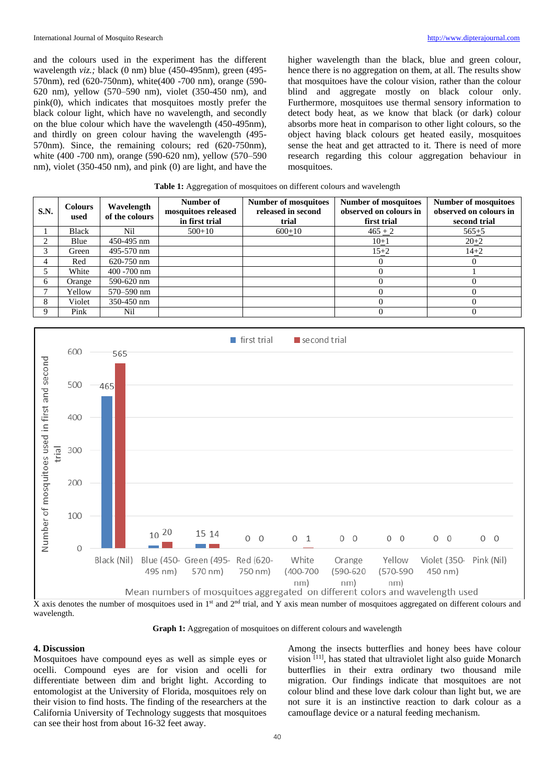and the colours used in the experiment has the different wavelength *viz.;* black (0 nm) blue (450-495nm), green (495- 570nm), red (620-750nm), white(400 -700 nm), orange (590- 620 nm), yellow (570–590 nm), violet (350-450 nm), and pink(0), which indicates that mosquitoes mostly prefer the black colour light, which have no wavelength, and secondly on the blue colour which have the wavelength (450-495nm), and thirdly on green colour having the wavelength (495- 570nm). Since, the remaining colours; red (620-750nm), white (400 -700 nm), orange (590-620 nm), yellow (570–590 nm), violet (350-450 nm), and pink (0) are light, and have the

higher wavelength than the black, blue and green colour, hence there is no aggregation on them, at all. The results show that mosquitoes have the colour vision, rather than the colour blind and aggregate mostly on black colour only. Furthermore, mosquitoes use thermal sensory information to detect body heat, as we know that black (or dark) colour absorbs more heat in comparison to other light colours, so the object having black colours get heated easily, mosquitoes sense the heat and get attracted to it. There is need of more research regarding this colour aggregation behaviour in mosquitoes.

| <b>S.N.</b> | <b>Colours</b><br>used | Wavelength<br>of the colours | Number of<br>mosquitoes released<br>in first trial | <b>Number of mosquitoes</b><br>released in second<br>trial | <b>Number of mosquitoes</b><br>observed on colours in<br>first trial | <b>Number of mosquitoes</b><br>observed on colours in<br>second trial |
|-------------|------------------------|------------------------------|----------------------------------------------------|------------------------------------------------------------|----------------------------------------------------------------------|-----------------------------------------------------------------------|
|             | <b>Black</b>           | Nil                          | $500+10$                                           | $600+10$                                                   | $465 + 2$                                                            | $565 + 5$                                                             |
| ↑           | Blue                   | 450-495 nm                   |                                                    |                                                            | $10+1$                                                               | $20+2$                                                                |
| 3           | Green                  | 495-570 nm                   |                                                    |                                                            | $15+2$                                                               | $14 + 2$                                                              |
| 4           | Red                    | 620-750 nm                   |                                                    |                                                            | 0                                                                    | 0                                                                     |
|             | White                  | $400 - 700$ nm               |                                                    |                                                            |                                                                      |                                                                       |
| 6           | Orange                 | 590-620 nm                   |                                                    |                                                            |                                                                      |                                                                       |
| ┑           | Yellow                 | 570–590 nm                   |                                                    |                                                            |                                                                      |                                                                       |
| 8           | Violet                 | 350-450 nm                   |                                                    |                                                            |                                                                      |                                                                       |
| 9           | Pink                   | Nil                          |                                                    |                                                            |                                                                      |                                                                       |



X axis denotes the number of mosquitoes used in 1<sup>st</sup> and 2<sup>nd</sup> trial, and Y axis mean number of mosquitoes aggregated on different colours and wavelength.

**Graph 1:** Aggregation of mosquitoes on different colours and wavelength

#### **4. Discussion**

Mosquitoes have compound eyes as well as simple eyes or ocelli. Compound eyes are for vision and ocelli for differentiate between dim and bright light. According to entomologist at the University of Florida, mosquitoes rely on their vision to find hosts. The finding of the researchers at the California University of Technology suggests that mosquitoes can see their host from about 16-32 feet away.

Among the insects butterflies and honey bees have colour vision [11], has stated that ultraviolet light also guide Monarch butterflies in their extra ordinary two thousand mile migration. Our findings indicate that mosquitoes are not colour blind and these love dark colour than light but, we are not sure it is an instinctive reaction to dark colour as a camouflage device or a natural feeding mechanism.